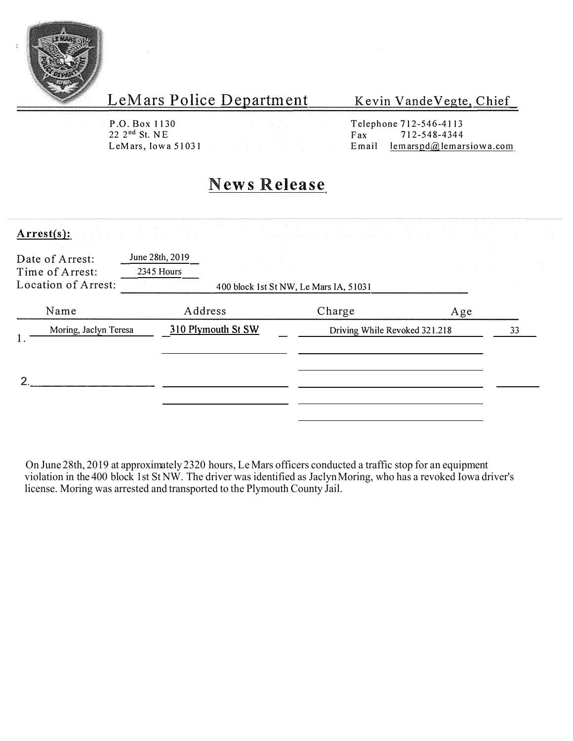

Kevin Vande Vegte, Chief

P.O. Box 1130<br>22 2<sup>nd</sup> St. NE

Telephone 712-546-4113<br>Fax 712-548-4344  $22 \t2<sup>nd</sup>$  St. NE<br>
LeMars, Iowa 51031<br>
LeMars, Iowa 51031<br>
Email lemarspd@lemar  $l$  emarspd $@$ , lemarsiowa.com

# **News Release**

| $Arrest(s)$ :                      | and the company of<br>the control of the control of the control of | The contract of the contract of the contract of the contract of the contract of the contract of the contract of | of the contract of the contract of the contract of the contract of the |                    |    |
|------------------------------------|--------------------------------------------------------------------|-----------------------------------------------------------------------------------------------------------------|------------------------------------------------------------------------|--------------------|----|
| Date of Arrest:<br>Time of Arrest: | June 28th, 2019<br>2345 Hours                                      |                                                                                                                 |                                                                        | and the company of |    |
| Location of Arrest:                |                                                                    | 400 block 1st St NW, Le Mars IA, 51031                                                                          |                                                                        |                    |    |
| Name                               | Address                                                            |                                                                                                                 | Charge                                                                 | Age                |    |
| Moring, Jaclyn Teresa              | 310 Plymouth St SW                                                 |                                                                                                                 | Driving While Revoked 321.218                                          |                    | 33 |
|                                    |                                                                    |                                                                                                                 |                                                                        |                    |    |

On June 28th, 2019 at approximately 2320 hours, Le Mars officers conducted a traffic stop for an equipment violation in the 400 block 1st St NW. The driver was identified as Jaclyn Moring, who has a revoked Iowa driver's license. Moring was arrested and transported to the Plymouth County Jail.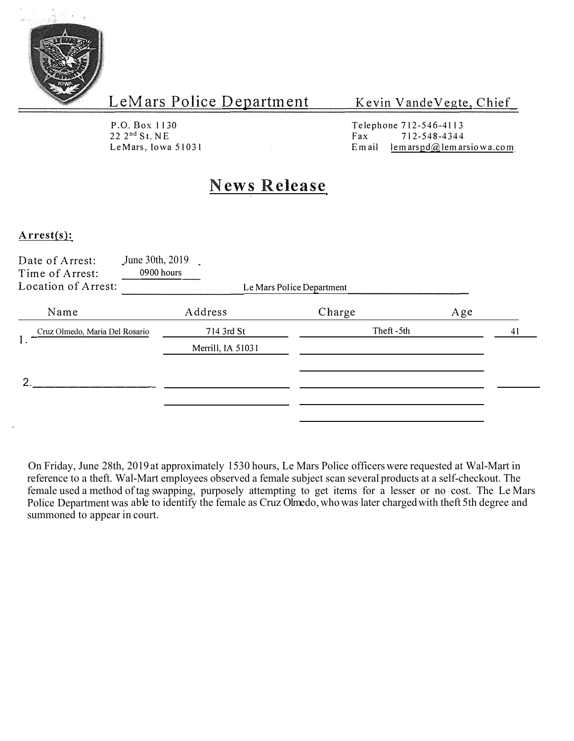

Kevin Vande Vegte, Chief

P.O. Box 1130 22 2 nd St. NE LeMars, Iowa 51031 Telephone 712-546-4113<br>Fax 712-548-4344 7 | 2-54 8 - 4344 Email lemarspd $@$ lemarsiowa.com

### **News Release**

#### **Arrest(s):**

| Date of Arrest:<br>Time of Arrest:<br>Location of Arrest: | June 30th, 2019<br>0900 hours | Le Mars Police Department |     |    |
|-----------------------------------------------------------|-------------------------------|---------------------------|-----|----|
|                                                           |                               |                           |     |    |
| Name                                                      | Address                       | Charge                    | Age |    |
| Cruz Olmedo, Maria Del Rosario<br>1.                      | 714 3rd St                    | Theft-5th                 |     | 41 |
|                                                           | Merrill, IA 51031             |                           |     |    |
|                                                           |                               |                           |     |    |
| າ                                                         |                               |                           |     |    |
|                                                           |                               |                           |     |    |
|                                                           |                               |                           |     |    |

On Friday, June 28th, 2019 at approximately 1530 hours, Le Mars Police officers were requested at Wal-Mart in reference to a theft. Wal-Mart employees observed a female subject scan several products at a self-checkout. The female used a method of tag swapping, purposely attempting to get items for a lesser or no cost. The Le Mars Police Department was able to identify the female as Cruz Olmedo, who was later charged with theft 5th degree and summoned to appear in court.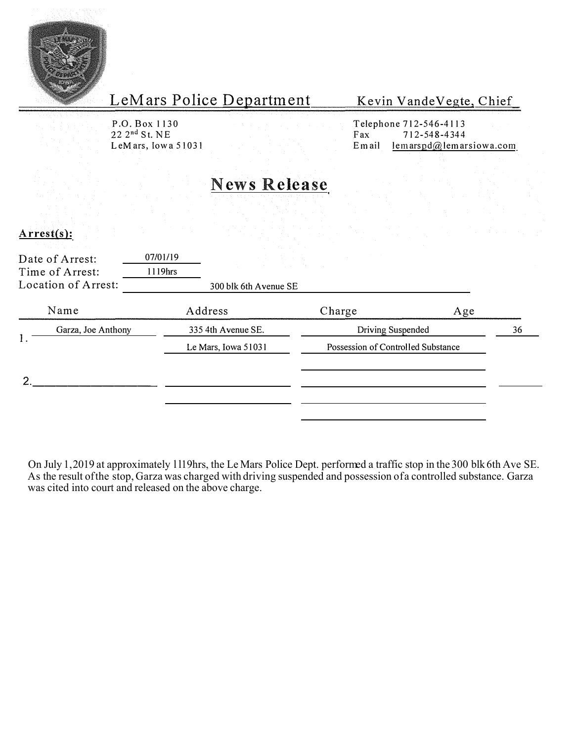

Kevin Vande Vegte, Chief

P.O. Box 1130<br>22 2<sup>nd</sup> St. NE

Telephone 712-546-4113<br>Fax 712-548-4344  $22 \t2^{nd}$  St. NE<br>
LeMars, Iowa 51031<br>
LeMars, Iowa 51031<br>
Email lemarspd@lemar  $l$  em arspd $@$ , lemarsiowa.com

## **News Release**

### $Arrest(s)$ :

| Date of Arrest:<br>Time of Arrest:<br>Location of Arrest: | 07/01/19<br>1119hrs | $\label{eq:2.1} \begin{split} \mathcal{L}_{\text{max}}(\mathbf{X}) & = \mathcal{L}_{\text{max}}(\mathbf{X}) \mathcal{L}_{\text{max}}(\mathbf{X}) \\ & = \mathcal{L}_{\text{max}}(\mathbf{X}) \mathcal{L}_{\text{max}}(\mathbf{X}) \mathcal{L}_{\text{max}}(\mathbf{X}) \mathcal{L}_{\text{max}}(\mathbf{X}) \end{split}$<br>300 blk 6th Avenue SE |                                                         |  |    |
|-----------------------------------------------------------|---------------------|---------------------------------------------------------------------------------------------------------------------------------------------------------------------------------------------------------------------------------------------------------------------------------------------------------------------------------------------------|---------------------------------------------------------|--|----|
| Name                                                      | Address             |                                                                                                                                                                                                                                                                                                                                                   | Charge<br>Age                                           |  |    |
| Garza, Joe Anthony<br>1.                                  |                     | 335 4th Avenue SE.<br>Le Mars, Iowa 51031                                                                                                                                                                                                                                                                                                         | Driving Suspended<br>Possession of Controlled Substance |  | 36 |
|                                                           |                     |                                                                                                                                                                                                                                                                                                                                                   |                                                         |  |    |

On July 1, 2019 at approximately 1119hrs, the Le Mars Police Dept. performed a traffic stop in the 300 blk 6th Ave SE. As the result of the stop, Garza was charged with driving suspended and possession of a controlled substance. Garza was cited into court and released on the above charge.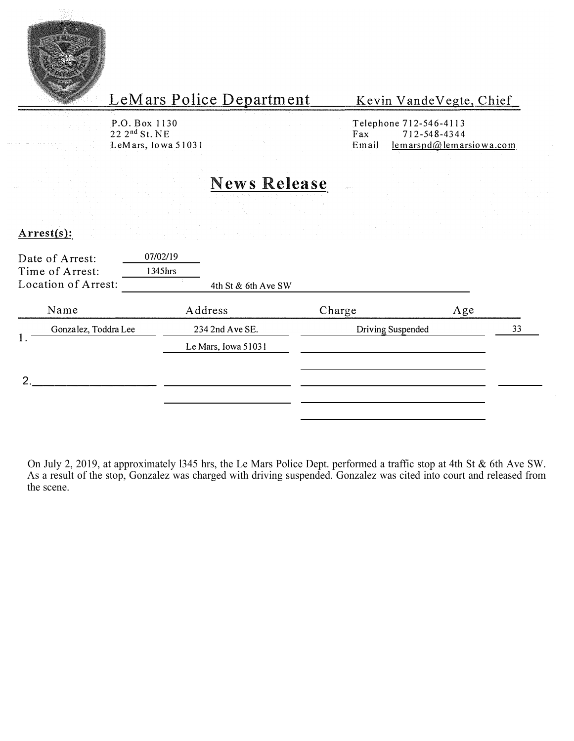

Kevin Vande Vegte, Chief

P.O. Box 1130  $22 \t2<sup>nd</sup> St. NE  
LeMars, Iowa 51031  
Email$ 

Telephone 712-546-4113<br>Fax 712-548-4344  $l$ em arspd $@$  lemarsiowa.com

### **News Release**

#### **Arrest(s):**

|    | Date of Arrest:<br>Time of Arrest:<br>Location of Arrest: | 07/02/19<br>1345hrs | 4th St & 6th Ave SW |                   |     |    |
|----|-----------------------------------------------------------|---------------------|---------------------|-------------------|-----|----|
|    | Name                                                      |                     | Address             | Charge            | Age |    |
|    | Gonzalez, Toddra Lee                                      |                     | 234 2nd Ave SE.     | Driving Suspended |     | 33 |
| 1. |                                                           |                     | Le Mars, Iowa 51031 |                   |     |    |
| ◠  |                                                           |                     |                     |                   |     |    |
|    |                                                           |                     |                     |                   |     |    |
|    |                                                           |                     |                     |                   |     |    |

On July 2, 2019, at approximately l345 hrs, the Le Mars Police Dept. performed a traffic stop at 4th St & 6th Ave SW. As a result of the stop, Gonzalez was charged with driving suspended. Gonzalez was cited into court and released from the scene.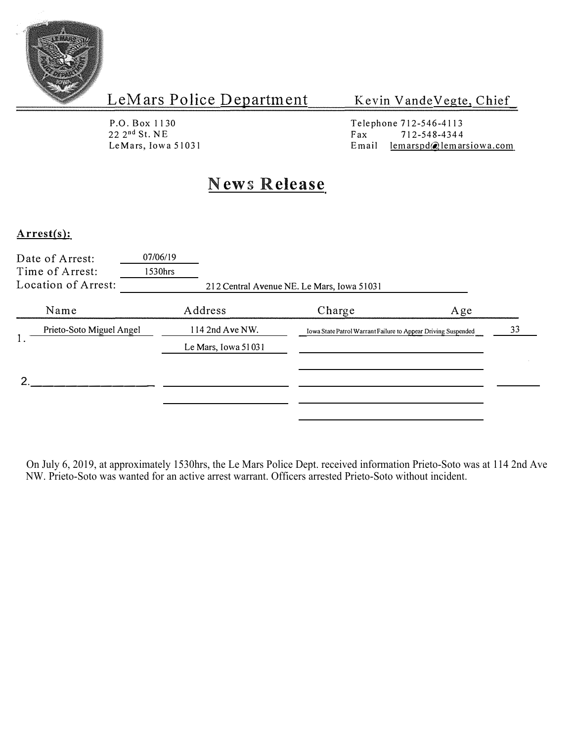

Kevin Vande Vegte, Chief

P.O. Box 1130 P.O. BOX 1130<br>
22 2<sup>nd</sup> St. NE<br>
LeMars, Iowa 51031<br>
Email

Telephone 712-546-4113<br>Fax 712-548-4344 lemarspd@lemarsiowa.com

### **News Release**

### **Arrest(s):**

| Date of Arrest:<br>Time of Arrest:<br>Location of Arrest: | 07/06/19<br>1530hrs |                     | 212 Central Avenue NE. Le Mars, Iowa 51031                    |     |    |
|-----------------------------------------------------------|---------------------|---------------------|---------------------------------------------------------------|-----|----|
| Name                                                      |                     | Address             | Charge                                                        | Age |    |
| Prieto-Soto Miguel Angel                                  |                     | 114 2nd Ave NW.     | Iowa State Patrol Warrant Failure to Appear Driving Suspended |     | 33 |
|                                                           |                     | Le Mars, Iowa 51031 |                                                               |     |    |
|                                                           |                     |                     |                                                               |     |    |
|                                                           |                     |                     |                                                               |     |    |

On July 6, 2019, at approximately 1530hrs, the Le Mars Police Dept. received information Prieto-Soto was at 114 2nd Ave NW. Prieto-Soto was wanted for an active arrest warrant. Officers arrested Prieto-Soto without incident.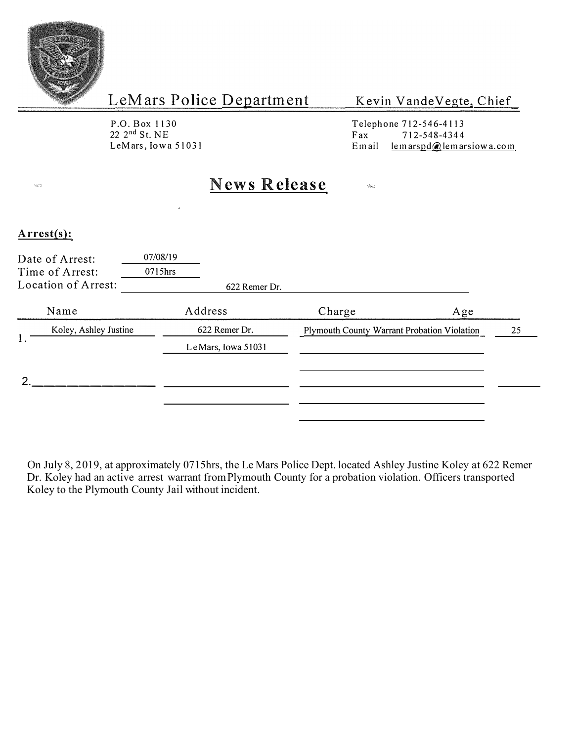

Kevin Vande Vegte, Chief

P.O. Box 1130  $22 \t2<sup>nd</sup>$  St. NE<br>LeMars, Iowa 51031 Telephone 712-546-4113<br>Fax 712-548-4344  $\begin{array}{r} \n\text{Fax} \\
\text{Email} \\
\text{lemarspd} \\
\text{Remar} \\
\end{array}$ lem arspd@lem arsiowa.com

 $\omega_{\rm X}$ 

## **News Release**

#### **Arrest(s):**

 $\frac{1}{2} \sum_{i=1}^{n} \frac{1}{n_i}$ 

|    | Date of Arrest:<br>Time of Arrest:<br>Location of Arrest: | 07/08/19<br>0715hrs<br>622 Remer Dr. |                                             |    |
|----|-----------------------------------------------------------|--------------------------------------|---------------------------------------------|----|
|    | Name                                                      | Address                              | Charge<br>Age                               |    |
|    | Koley, Ashley Justine                                     | 622 Remer Dr.                        | Plymouth County Warrant Probation Violation | 25 |
| 1. |                                                           | Le Mars, Iowa 51031                  |                                             |    |
|    |                                                           |                                      |                                             |    |
|    |                                                           |                                      |                                             |    |

On July 8, 2019, at approximately 0715hrs, the Le Mars Police Dept. located Ashley Justine Koley at 622 Remer Dr. Koley had an active arrest warrant from Plymouth County for a probation violation. Officers transported Koley to the Plymouth County Jail without incident.